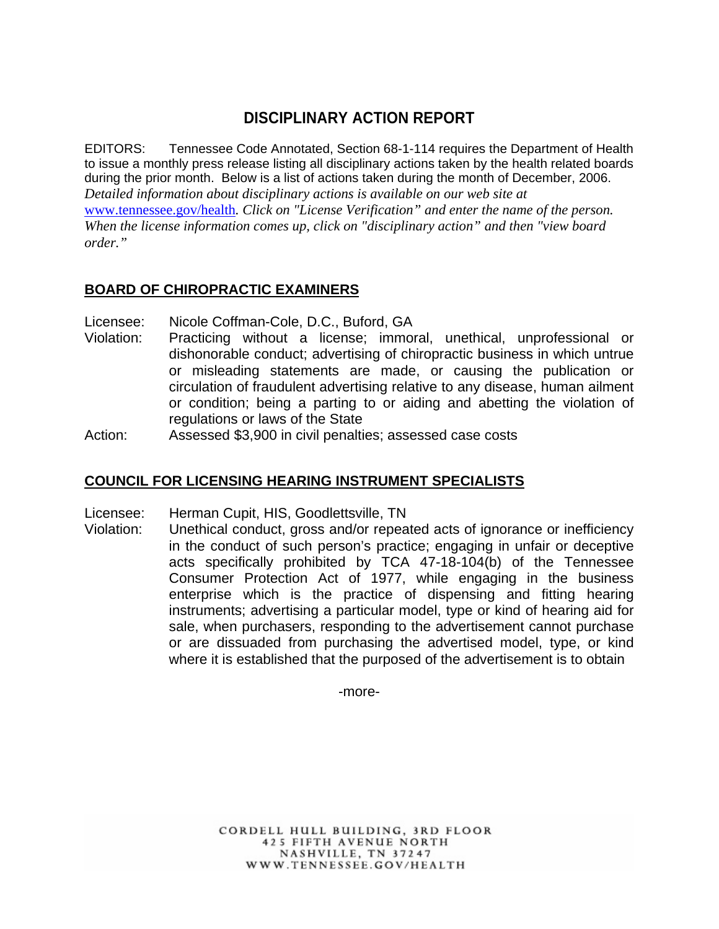# **DISCIPLINARY ACTION REPORT**

EDITORS: Tennessee Code Annotated, Section 68-1-114 requires the Department of Health to issue a monthly press release listing all disciplinary actions taken by the health related boards during the prior month. Below is a list of actions taken during the month of December, 2006. *Detailed information about disciplinary actions is available on our web site at*  www.tennessee.gov/health*. Click on "License Verification" and enter the name of the person. When the license information comes up, click on "disciplinary action" and then "view board order."* 

# **BOARD OF CHIROPRACTIC EXAMINERS**

Licensee: Nicole Coffman-Cole, D.C., Buford, GA

Violation: Practicing without a license; immoral, unethical, unprofessional or dishonorable conduct; advertising of chiropractic business in which untrue or misleading statements are made, or causing the publication or circulation of fraudulent advertising relative to any disease, human ailment or condition; being a parting to or aiding and abetting the violation of regulations or laws of the State

Action: Assessed \$3,900 in civil penalties; assessed case costs

## **COUNCIL FOR LICENSING HEARING INSTRUMENT SPECIALISTS**

Licensee: Herman Cupit, HIS, Goodlettsville, TN

Violation: Unethical conduct, gross and/or repeated acts of ignorance or inefficiency in the conduct of such person's practice; engaging in unfair or deceptive acts specifically prohibited by TCA 47-18-104(b) of the Tennessee Consumer Protection Act of 1977, while engaging in the business enterprise which is the practice of dispensing and fitting hearing instruments; advertising a particular model, type or kind of hearing aid for sale, when purchasers, responding to the advertisement cannot purchase or are dissuaded from purchasing the advertised model, type, or kind where it is established that the purposed of the advertisement is to obtain

-more-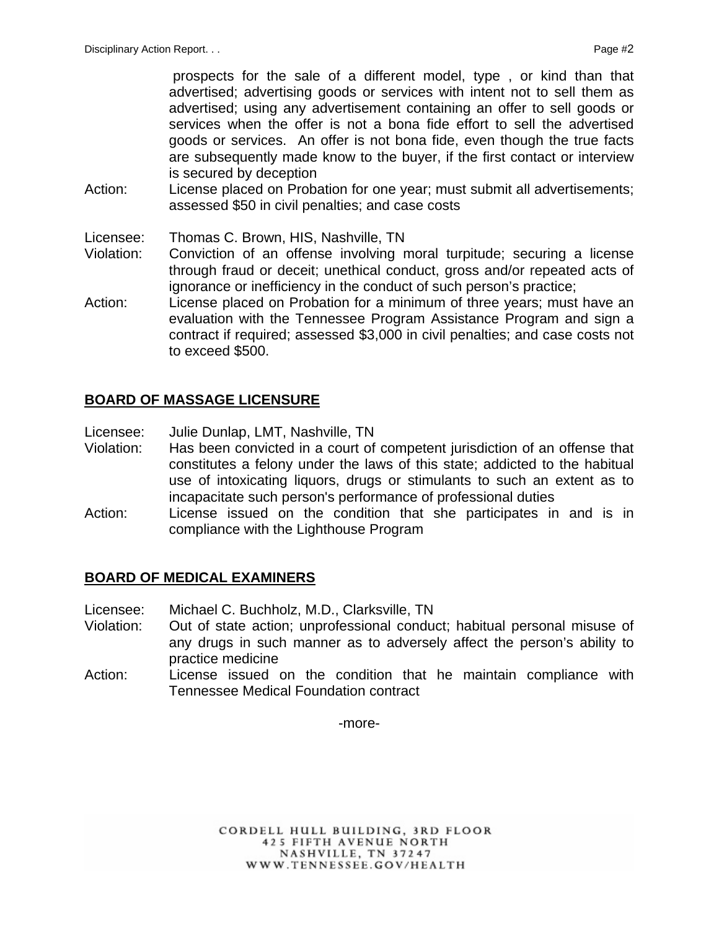prospects for the sale of a different model, type , or kind than that advertised; advertising goods or services with intent not to sell them as advertised; using any advertisement containing an offer to sell goods or services when the offer is not a bona fide effort to sell the advertised goods or services. An offer is not bona fide, even though the true facts are subsequently made know to the buyer, if the first contact or interview is secured by deception

- Action: License placed on Probation for one year; must submit all advertisements; assessed \$50 in civil penalties; and case costs
- Licensee: Thomas C. Brown, HIS, Nashville, TN
- Violation: Conviction of an offense involving moral turpitude; securing a license through fraud or deceit; unethical conduct, gross and/or repeated acts of ignorance or inefficiency in the conduct of such person's practice;
- Action: License placed on Probation for a minimum of three years; must have an evaluation with the Tennessee Program Assistance Program and sign a contract if required; assessed \$3,000 in civil penalties; and case costs not to exceed \$500.

## **BOARD OF MASSAGE LICENSURE**

Licensee: Julie Dunlap, LMT, Nashville, TN

- Violation: Has been convicted in a court of competent jurisdiction of an offense that constitutes a felony under the laws of this state; addicted to the habitual use of intoxicating liquors, drugs or stimulants to such an extent as to incapacitate such person's performance of professional duties
- Action: License issued on the condition that she participates in and is in compliance with the Lighthouse Program

## **BOARD OF MEDICAL EXAMINERS**

- Licensee: Michael C. Buchholz, M.D., Clarksville, TN
- Violation: Out of state action; unprofessional conduct; habitual personal misuse of any drugs in such manner as to adversely affect the person's ability to practice medicine
- Action: License issued on the condition that he maintain compliance with Tennessee Medical Foundation contract

-more-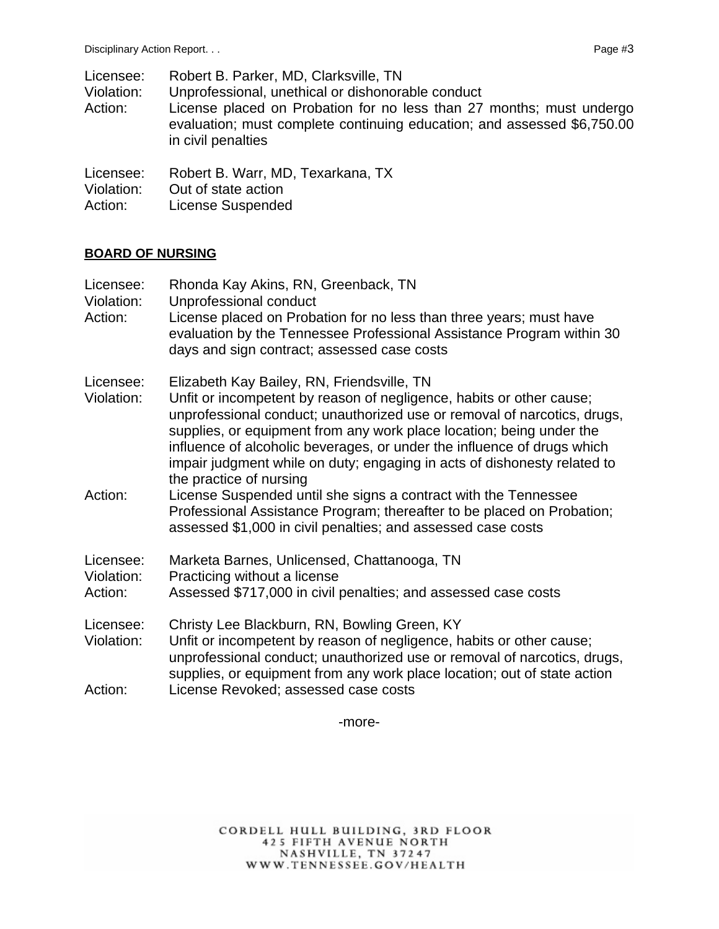| Licensee:<br>Violation:<br>Action: | Robert B. Parker, MD, Clarksville, TN<br>Unprofessional, unethical or dishonorable conduct<br>License placed on Probation for no less than 27 months; must undergo<br>evaluation; must complete continuing education; and assessed \$6,750.00<br>in civil penalties |
|------------------------------------|---------------------------------------------------------------------------------------------------------------------------------------------------------------------------------------------------------------------------------------------------------------------|
| Licensee:                          | Robert B. Warr, MD, Texarkana, TX                                                                                                                                                                                                                                   |
| Violation:                         | Out of state action                                                                                                                                                                                                                                                 |

Action: License Suspended

#### **BOARD OF NURSING**

| Licensee:<br>Violation:<br>Action: | Rhonda Kay Akins, RN, Greenback, TN<br>Unprofessional conduct<br>License placed on Probation for no less than three years; must have<br>evaluation by the Tennessee Professional Assistance Program within 30<br>days and sign contract; assessed case costs                                                                                                                                                                                             |
|------------------------------------|----------------------------------------------------------------------------------------------------------------------------------------------------------------------------------------------------------------------------------------------------------------------------------------------------------------------------------------------------------------------------------------------------------------------------------------------------------|
| Licensee:<br>Violation:            | Elizabeth Kay Bailey, RN, Friendsville, TN<br>Unfit or incompetent by reason of negligence, habits or other cause;<br>unprofessional conduct; unauthorized use or removal of narcotics, drugs,<br>supplies, or equipment from any work place location; being under the<br>influence of alcoholic beverages, or under the influence of drugs which<br>impair judgment while on duty; engaging in acts of dishonesty related to<br>the practice of nursing |
| Action:                            | License Suspended until she signs a contract with the Tennessee<br>Professional Assistance Program; thereafter to be placed on Probation;<br>assessed \$1,000 in civil penalties; and assessed case costs                                                                                                                                                                                                                                                |
| Licensee:<br>Violation:            | Marketa Barnes, Unlicensed, Chattanooga, TN<br>Practicing without a license                                                                                                                                                                                                                                                                                                                                                                              |
| Action:                            | Assessed \$717,000 in civil penalties; and assessed case costs                                                                                                                                                                                                                                                                                                                                                                                           |
| Licensee:<br>Violation:            | Christy Lee Blackburn, RN, Bowling Green, KY<br>Unfit or incompetent by reason of negligence, habits or other cause;<br>unprofessional conduct; unauthorized use or removal of narcotics, drugs,<br>supplies, or equipment from any work place location; out of state action                                                                                                                                                                             |
| Action:                            | License Revoked; assessed case costs                                                                                                                                                                                                                                                                                                                                                                                                                     |

-more-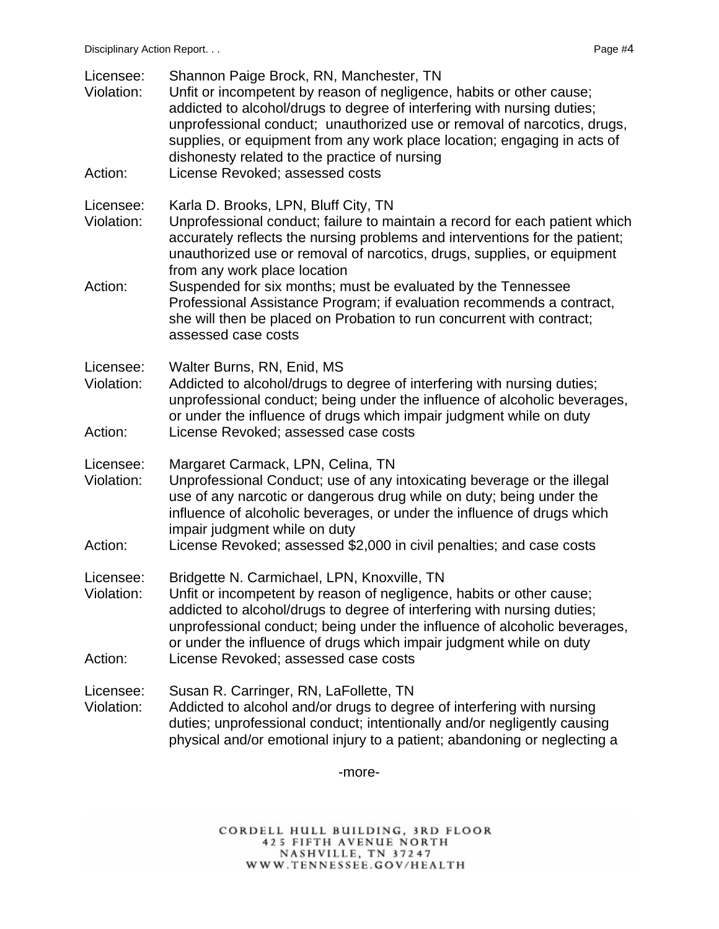| Licensee:<br>Violation:<br>Action: | Shannon Paige Brock, RN, Manchester, TN<br>Unfit or incompetent by reason of negligence, habits or other cause;<br>addicted to alcohol/drugs to degree of interfering with nursing duties;<br>unprofessional conduct; unauthorized use or removal of narcotics, drugs,<br>supplies, or equipment from any work place location; engaging in acts of<br>dishonesty related to the practice of nursing<br>License Revoked; assessed costs                                                                                                                 |
|------------------------------------|--------------------------------------------------------------------------------------------------------------------------------------------------------------------------------------------------------------------------------------------------------------------------------------------------------------------------------------------------------------------------------------------------------------------------------------------------------------------------------------------------------------------------------------------------------|
| Licensee:<br>Violation:<br>Action: | Karla D. Brooks, LPN, Bluff City, TN<br>Unprofessional conduct; failure to maintain a record for each patient which<br>accurately reflects the nursing problems and interventions for the patient;<br>unauthorized use or removal of narcotics, drugs, supplies, or equipment<br>from any work place location<br>Suspended for six months; must be evaluated by the Tennessee<br>Professional Assistance Program; if evaluation recommends a contract,<br>she will then be placed on Probation to run concurrent with contract;<br>assessed case costs |
| Licensee:<br>Violation:<br>Action: | Walter Burns, RN, Enid, MS<br>Addicted to alcohol/drugs to degree of interfering with nursing duties;<br>unprofessional conduct; being under the influence of alcoholic beverages,<br>or under the influence of drugs which impair judgment while on duty<br>License Revoked; assessed case costs                                                                                                                                                                                                                                                      |
| Licensee:<br>Violation:<br>Action: | Margaret Carmack, LPN, Celina, TN<br>Unprofessional Conduct; use of any intoxicating beverage or the illegal<br>use of any narcotic or dangerous drug while on duty; being under the<br>influence of alcoholic beverages, or under the influence of drugs which<br>impair judgment while on duty<br>License Revoked; assessed \$2,000 in civil penalties; and case costs                                                                                                                                                                               |
| Licensee:<br>Violation:<br>Action: | Bridgette N. Carmichael, LPN, Knoxville, TN<br>Unfit or incompetent by reason of negligence, habits or other cause;<br>addicted to alcohol/drugs to degree of interfering with nursing duties;<br>unprofessional conduct; being under the influence of alcoholic beverages,<br>or under the influence of drugs which impair judgment while on duty<br>License Revoked; assessed case costs                                                                                                                                                             |
| Licensee:<br>Violation:            | Susan R. Carringer, RN, LaFollette, TN<br>Addicted to alcohol and/or drugs to degree of interfering with nursing<br>duties; unprofessional conduct; intentionally and/or negligently causing<br>physical and/or emotional injury to a patient; abandoning or neglecting a                                                                                                                                                                                                                                                                              |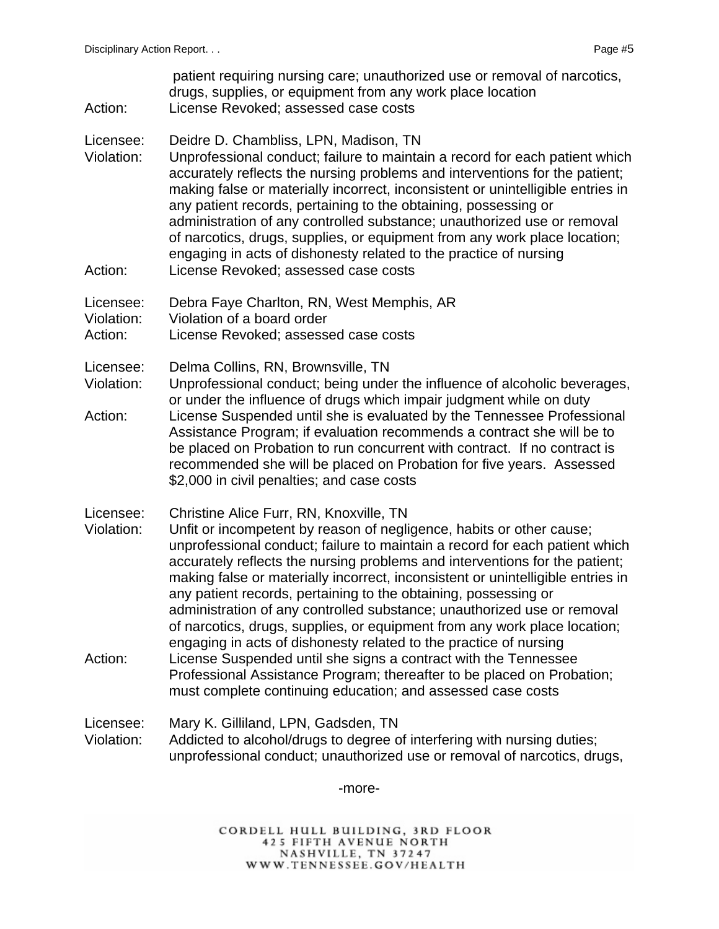patient requiring nursing care; unauthorized use or removal of narcotics, drugs, supplies, or equipment from any work place location Action: License Revoked; assessed case costs

- Licensee: Deidre D. Chambliss, LPN, Madison, TN
- Violation: Unprofessional conduct; failure to maintain a record for each patient which accurately reflects the nursing problems and interventions for the patient; making false or materially incorrect, inconsistent or unintelligible entries in any patient records, pertaining to the obtaining, possessing or administration of any controlled substance; unauthorized use or removal of narcotics, drugs, supplies, or equipment from any work place location; engaging in acts of dishonesty related to the practice of nursing Action: License Revoked; assessed case costs
- 
- Licensee: Debra Faye Charlton, RN, West Memphis, AR
- Violation: Violation of a board order
- Action: License Revoked; assessed case costs
- Licensee: Delma Collins, RN, Brownsville, TN
- Violation: Unprofessional conduct; being under the influence of alcoholic beverages, or under the influence of drugs which impair judgment while on duty Action: License Suspended until she is evaluated by the Tennessee Professional
- Assistance Program; if evaluation recommends a contract she will be to be placed on Probation to run concurrent with contract. If no contract is recommended she will be placed on Probation for five years. Assessed \$2,000 in civil penalties; and case costs
- Licensee: Christine Alice Furr, RN, Knoxville, TN
- Violation: Unfit or incompetent by reason of negligence, habits or other cause; unprofessional conduct; failure to maintain a record for each patient which accurately reflects the nursing problems and interventions for the patient; making false or materially incorrect, inconsistent or unintelligible entries in any patient records, pertaining to the obtaining, possessing or administration of any controlled substance; unauthorized use or removal of narcotics, drugs, supplies, or equipment from any work place location; engaging in acts of dishonesty related to the practice of nursing Action: License Suspended until she signs a contract with the Tennessee Professional Assistance Program; thereafter to be placed on Probation;
	- must complete continuing education; and assessed case costs
- Licensee: Mary K. Gilliland, LPN, Gadsden, TN Violation: Addicted to alcohol/drugs to degree of interfering with nursing duties; unprofessional conduct; unauthorized use or removal of narcotics, drugs,

-more-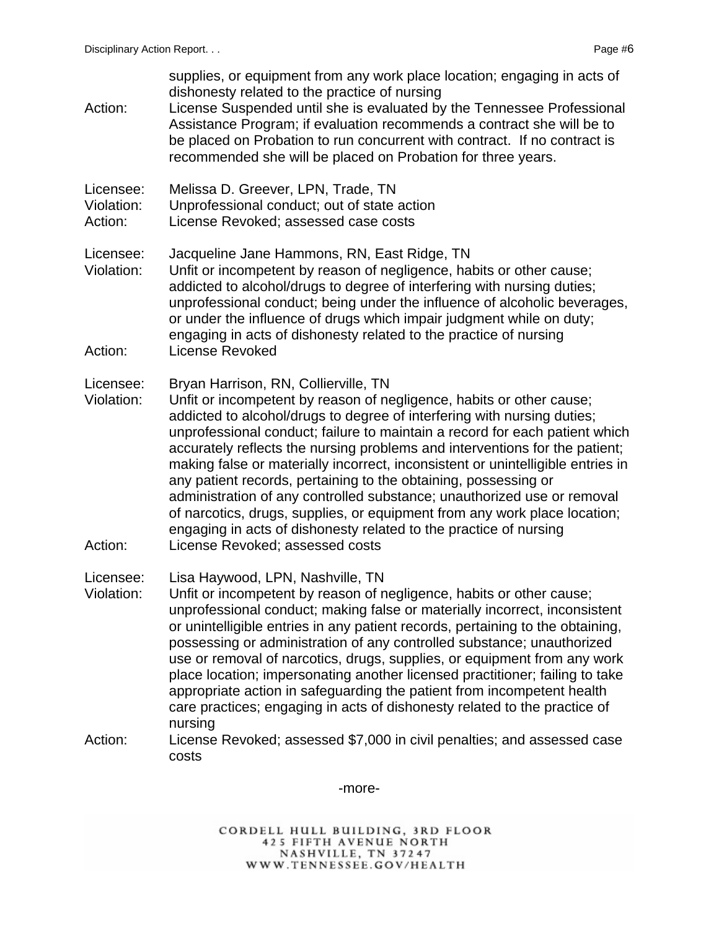supplies, or equipment from any work place location; engaging in acts of dishonesty related to the practice of nursing Action: License Suspended until she is evaluated by the Tennessee Professional Assistance Program; if evaluation recommends a contract she will be to be placed on Probation to run concurrent with contract. If no contract is recommended she will be placed on Probation for three years. Licensee: Melissa D. Greever, LPN, Trade, TN Violation: Unprofessional conduct; out of state action Action: License Revoked; assessed case costs Licensee: Jacqueline Jane Hammons, RN, East Ridge, TN Violation: Unfit or incompetent by reason of negligence, habits or other cause; addicted to alcohol/drugs to degree of interfering with nursing duties; unprofessional conduct; being under the influence of alcoholic beverages, or under the influence of drugs which impair judgment while on duty; engaging in acts of dishonesty related to the practice of nursing Action: License Revoked Licensee: Bryan Harrison, RN, Collierville, TN Violation: Unfit or incompetent by reason of negligence, habits or other cause; addicted to alcohol/drugs to degree of interfering with nursing duties; unprofessional conduct; failure to maintain a record for each patient which accurately reflects the nursing problems and interventions for the patient; making false or materially incorrect, inconsistent or unintelligible entries in any patient records, pertaining to the obtaining, possessing or administration of any controlled substance; unauthorized use or removal of narcotics, drugs, supplies, or equipment from any work place location; engaging in acts of dishonesty related to the practice of nursing Action: License Revoked; assessed costs Licensee: Lisa Haywood, LPN, Nashville, TN Violation: Unfit or incompetent by reason of negligence, habits or other cause; unprofessional conduct; making false or materially incorrect, inconsistent or unintelligible entries in any patient records, pertaining to the obtaining, possessing or administration of any controlled substance; unauthorized use or removal of narcotics, drugs, supplies, or equipment from any work place location; impersonating another licensed practitioner; failing to take appropriate action in safeguarding the patient from incompetent health care practices; engaging in acts of dishonesty related to the practice of nursing Action: License Revoked; assessed \$7,000 in civil penalties; and assessed case costs

-more-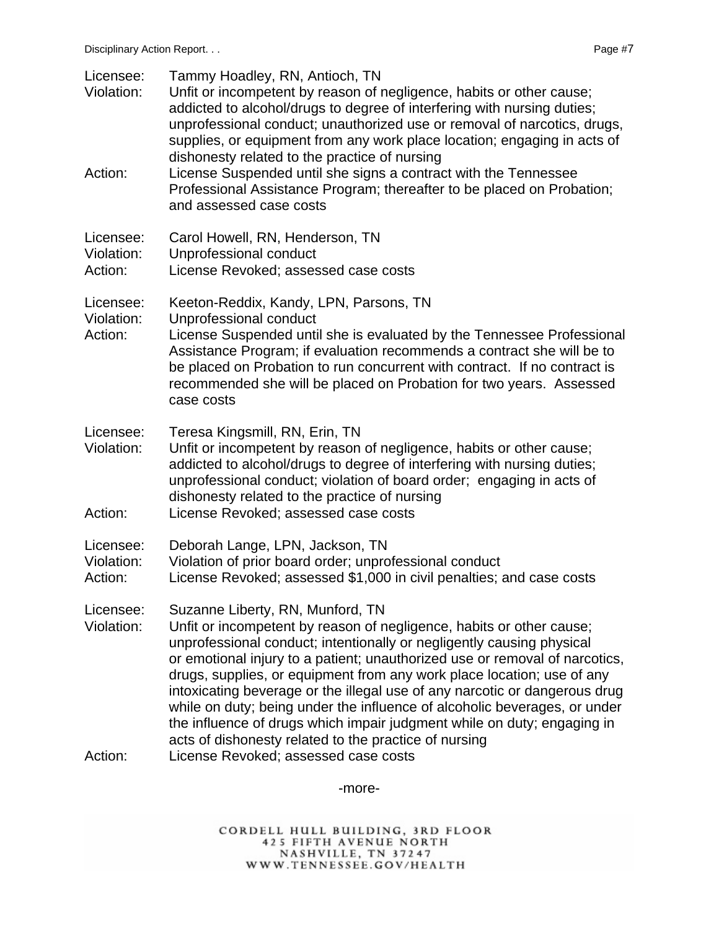| Licensee:<br>Violation:<br>Action: | Tammy Hoadley, RN, Antioch, TN<br>Unfit or incompetent by reason of negligence, habits or other cause;<br>addicted to alcohol/drugs to degree of interfering with nursing duties;<br>unprofessional conduct; unauthorized use or removal of narcotics, drugs,<br>supplies, or equipment from any work place location; engaging in acts of<br>dishonesty related to the practice of nursing<br>License Suspended until she signs a contract with the Tennessee<br>Professional Assistance Program; thereafter to be placed on Probation;                                                                                                                                           |
|------------------------------------|-----------------------------------------------------------------------------------------------------------------------------------------------------------------------------------------------------------------------------------------------------------------------------------------------------------------------------------------------------------------------------------------------------------------------------------------------------------------------------------------------------------------------------------------------------------------------------------------------------------------------------------------------------------------------------------|
| Licensee:                          | and assessed case costs<br>Carol Howell, RN, Henderson, TN                                                                                                                                                                                                                                                                                                                                                                                                                                                                                                                                                                                                                        |
| Violation:<br>Action:              | Unprofessional conduct<br>License Revoked; assessed case costs                                                                                                                                                                                                                                                                                                                                                                                                                                                                                                                                                                                                                    |
| Licensee:<br>Violation:<br>Action: | Keeton-Reddix, Kandy, LPN, Parsons, TN<br>Unprofessional conduct<br>License Suspended until she is evaluated by the Tennessee Professional<br>Assistance Program; if evaluation recommends a contract she will be to<br>be placed on Probation to run concurrent with contract. If no contract is<br>recommended she will be placed on Probation for two years. Assessed<br>case costs                                                                                                                                                                                                                                                                                            |
| Licensee:<br>Violation:<br>Action: | Teresa Kingsmill, RN, Erin, TN<br>Unfit or incompetent by reason of negligence, habits or other cause;<br>addicted to alcohol/drugs to degree of interfering with nursing duties;<br>unprofessional conduct; violation of board order; engaging in acts of<br>dishonesty related to the practice of nursing<br>License Revoked; assessed case costs                                                                                                                                                                                                                                                                                                                               |
| Licensee:<br>Violation:<br>Action: | Deborah Lange, LPN, Jackson, TN<br>Violation of prior board order; unprofessional conduct<br>License Revoked; assessed \$1,000 in civil penalties; and case costs                                                                                                                                                                                                                                                                                                                                                                                                                                                                                                                 |
| Licensee:<br>Violation:<br>Action: | Suzanne Liberty, RN, Munford, TN<br>Unfit or incompetent by reason of negligence, habits or other cause;<br>unprofessional conduct; intentionally or negligently causing physical<br>or emotional injury to a patient; unauthorized use or removal of narcotics,<br>drugs, supplies, or equipment from any work place location; use of any<br>intoxicating beverage or the illegal use of any narcotic or dangerous drug<br>while on duty; being under the influence of alcoholic beverages, or under<br>the influence of drugs which impair judgment while on duty; engaging in<br>acts of dishonesty related to the practice of nursing<br>License Revoked; assessed case costs |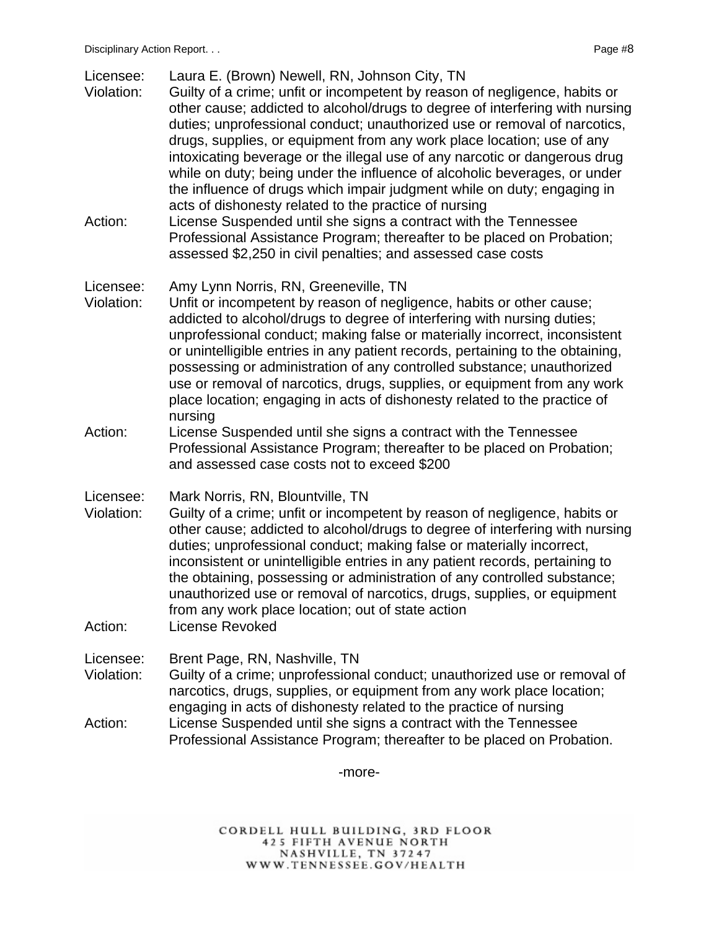| Licensee: | Laura E. (Brown) Newell, RN, Johnson City, TN |  |  |  |
|-----------|-----------------------------------------------|--|--|--|
|           |                                               |  |  |  |

- Violation: Guilty of a crime; unfit or incompetent by reason of negligence, habits or other cause; addicted to alcohol/drugs to degree of interfering with nursing duties; unprofessional conduct; unauthorized use or removal of narcotics, drugs, supplies, or equipment from any work place location; use of any intoxicating beverage or the illegal use of any narcotic or dangerous drug while on duty; being under the influence of alcoholic beverages, or under the influence of drugs which impair judgment while on duty; engaging in acts of dishonesty related to the practice of nursing
- Action: License Suspended until she signs a contract with the Tennessee Professional Assistance Program; thereafter to be placed on Probation; assessed \$2,250 in civil penalties; and assessed case costs

#### Licensee: Amy Lynn Norris, RN, Greeneville, TN

- Violation: Unfit or incompetent by reason of negligence, habits or other cause; addicted to alcohol/drugs to degree of interfering with nursing duties; unprofessional conduct; making false or materially incorrect, inconsistent or unintelligible entries in any patient records, pertaining to the obtaining, possessing or administration of any controlled substance; unauthorized use or removal of narcotics, drugs, supplies, or equipment from any work place location; engaging in acts of dishonesty related to the practice of nursing
- Action: License Suspended until she signs a contract with the Tennessee Professional Assistance Program; thereafter to be placed on Probation; and assessed case costs not to exceed \$200
- Licensee: Mark Norris, RN, Blountville, TN
- Violation: Guilty of a crime; unfit or incompetent by reason of negligence, habits or other cause; addicted to alcohol/drugs to degree of interfering with nursing duties; unprofessional conduct; making false or materially incorrect, inconsistent or unintelligible entries in any patient records, pertaining to the obtaining, possessing or administration of any controlled substance; unauthorized use or removal of narcotics, drugs, supplies, or equipment from any work place location; out of state action
- Action: License Revoked

Licensee: Brent Page, RN, Nashville, TN

- Violation: Guilty of a crime; unprofessional conduct; unauthorized use or removal of narcotics, drugs, supplies, or equipment from any work place location; engaging in acts of dishonesty related to the practice of nursing
- Action: License Suspended until she signs a contract with the Tennessee Professional Assistance Program; thereafter to be placed on Probation.

-more-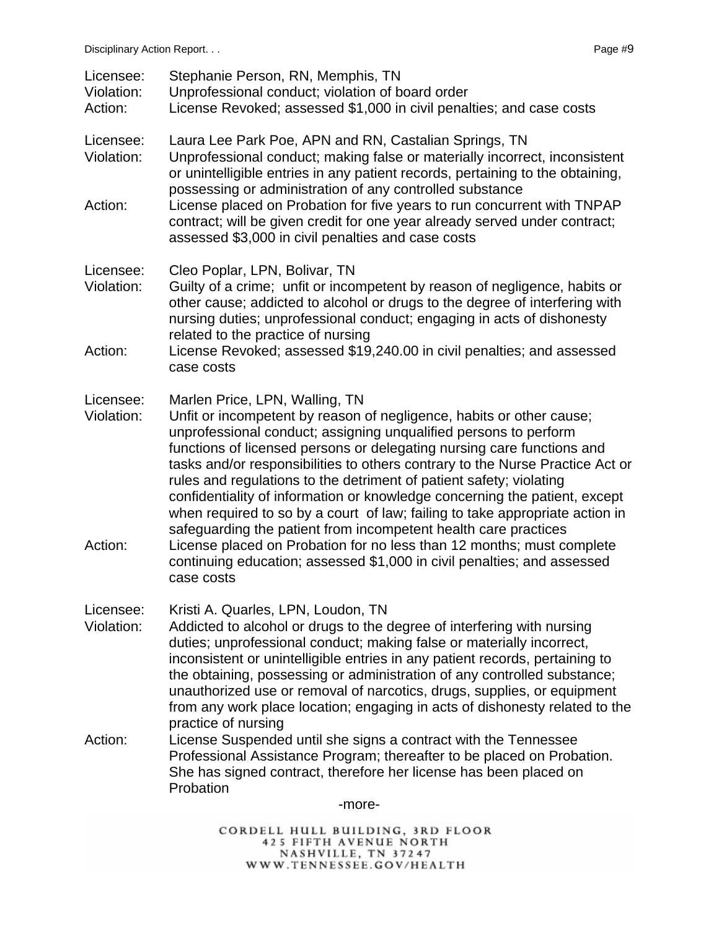| Licensee:<br>Violation:<br>Action: | Stephanie Person, RN, Memphis, TN<br>Unprofessional conduct; violation of board order<br>License Revoked; assessed \$1,000 in civil penalties; and case costs                                                                                                                                                                                                                                                                                                                                                                                                                                                                                                                                                          |
|------------------------------------|------------------------------------------------------------------------------------------------------------------------------------------------------------------------------------------------------------------------------------------------------------------------------------------------------------------------------------------------------------------------------------------------------------------------------------------------------------------------------------------------------------------------------------------------------------------------------------------------------------------------------------------------------------------------------------------------------------------------|
| Licensee:<br>Violation:            | Laura Lee Park Poe, APN and RN, Castalian Springs, TN<br>Unprofessional conduct; making false or materially incorrect, inconsistent<br>or unintelligible entries in any patient records, pertaining to the obtaining,<br>possessing or administration of any controlled substance                                                                                                                                                                                                                                                                                                                                                                                                                                      |
| Action:                            | License placed on Probation for five years to run concurrent with TNPAP<br>contract; will be given credit for one year already served under contract;<br>assessed \$3,000 in civil penalties and case costs                                                                                                                                                                                                                                                                                                                                                                                                                                                                                                            |
| Licensee:<br>Violation:            | Cleo Poplar, LPN, Bolivar, TN<br>Guilty of a crime; unfit or incompetent by reason of negligence, habits or<br>other cause; addicted to alcohol or drugs to the degree of interfering with<br>nursing duties; unprofessional conduct; engaging in acts of dishonesty<br>related to the practice of nursing                                                                                                                                                                                                                                                                                                                                                                                                             |
| Action:                            | License Revoked; assessed \$19,240.00 in civil penalties; and assessed<br>case costs                                                                                                                                                                                                                                                                                                                                                                                                                                                                                                                                                                                                                                   |
| Licensee:<br>Violation:<br>Action: | Marlen Price, LPN, Walling, TN<br>Unfit or incompetent by reason of negligence, habits or other cause;<br>unprofessional conduct; assigning unqualified persons to perform<br>functions of licensed persons or delegating nursing care functions and<br>tasks and/or responsibilities to others contrary to the Nurse Practice Act or<br>rules and regulations to the detriment of patient safety; violating<br>confidentiality of information or knowledge concerning the patient, except<br>when required to so by a court of law; failing to take appropriate action in<br>safeguarding the patient from incompetent health care practices<br>License placed on Probation for no less than 12 months; must complete |
|                                    | continuing education; assessed \$1,000 in civil penalties; and assessed<br>case costs                                                                                                                                                                                                                                                                                                                                                                                                                                                                                                                                                                                                                                  |
| Licensee:<br>Violation:            | Kristi A. Quarles, LPN, Loudon, TN<br>Addicted to alcohol or drugs to the degree of interfering with nursing<br>duties; unprofessional conduct; making false or materially incorrect,<br>inconsistent or unintelligible entries in any patient records, pertaining to<br>the obtaining, possessing or administration of any controlled substance;<br>unauthorized use or removal of narcotics, drugs, supplies, or equipment<br>from any work place location; engaging in acts of dishonesty related to the<br>practice of nursing                                                                                                                                                                                     |
| Action:                            | License Suspended until she signs a contract with the Tennessee<br>Professional Assistance Program; thereafter to be placed on Probation.<br>She has signed contract, therefore her license has been placed on<br>Probation                                                                                                                                                                                                                                                                                                                                                                                                                                                                                            |
|                                    | -more-                                                                                                                                                                                                                                                                                                                                                                                                                                                                                                                                                                                                                                                                                                                 |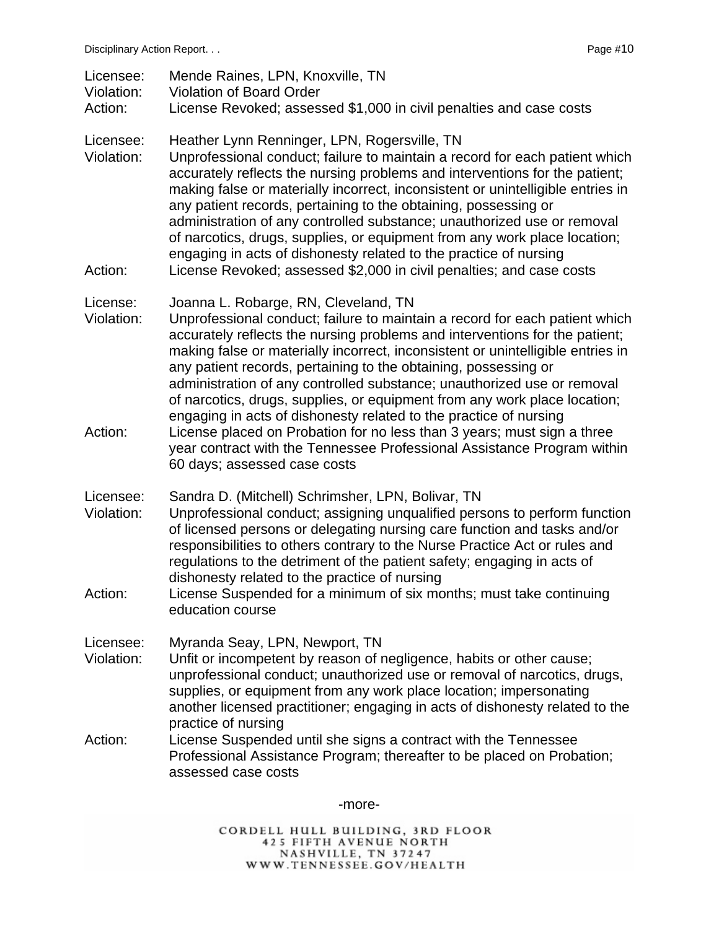| Licensee:<br>Violation:<br>Action: | Mende Raines, LPN, Knoxville, TN<br><b>Violation of Board Order</b><br>License Revoked; assessed \$1,000 in civil penalties and case costs                                                                                                                                                                                                                                                                                                                                                                                                                                                                                                                                                                                                                                  |
|------------------------------------|-----------------------------------------------------------------------------------------------------------------------------------------------------------------------------------------------------------------------------------------------------------------------------------------------------------------------------------------------------------------------------------------------------------------------------------------------------------------------------------------------------------------------------------------------------------------------------------------------------------------------------------------------------------------------------------------------------------------------------------------------------------------------------|
| Licensee:<br>Violation:<br>Action: | Heather Lynn Renninger, LPN, Rogersville, TN<br>Unprofessional conduct; failure to maintain a record for each patient which<br>accurately reflects the nursing problems and interventions for the patient;<br>making false or materially incorrect, inconsistent or unintelligible entries in<br>any patient records, pertaining to the obtaining, possessing or<br>administration of any controlled substance; unauthorized use or removal<br>of narcotics, drugs, supplies, or equipment from any work place location;<br>engaging in acts of dishonesty related to the practice of nursing<br>License Revoked; assessed \$2,000 in civil penalties; and case costs                                                                                                       |
| License:<br>Violation:<br>Action:  | Joanna L. Robarge, RN, Cleveland, TN<br>Unprofessional conduct; failure to maintain a record for each patient which<br>accurately reflects the nursing problems and interventions for the patient;<br>making false or materially incorrect, inconsistent or unintelligible entries in<br>any patient records, pertaining to the obtaining, possessing or<br>administration of any controlled substance; unauthorized use or removal<br>of narcotics, drugs, supplies, or equipment from any work place location;<br>engaging in acts of dishonesty related to the practice of nursing<br>License placed on Probation for no less than 3 years; must sign a three<br>year contract with the Tennessee Professional Assistance Program within<br>60 days; assessed case costs |
| Licensee:<br>Violation:<br>Action: | Sandra D. (Mitchell) Schrimsher, LPN, Bolivar, TN<br>Unprofessional conduct; assigning unqualified persons to perform function<br>of licensed persons or delegating nursing care function and tasks and/or<br>responsibilities to others contrary to the Nurse Practice Act or rules and<br>regulations to the detriment of the patient safety; engaging in acts of<br>dishonesty related to the practice of nursing<br>License Suspended for a minimum of six months; must take continuing<br>education course                                                                                                                                                                                                                                                             |
| Licensee:<br>Violation:<br>Action: | Myranda Seay, LPN, Newport, TN<br>Unfit or incompetent by reason of negligence, habits or other cause;<br>unprofessional conduct; unauthorized use or removal of narcotics, drugs,<br>supplies, or equipment from any work place location; impersonating<br>another licensed practitioner; engaging in acts of dishonesty related to the<br>practice of nursing<br>License Suspended until she signs a contract with the Tennessee<br>Professional Assistance Program; thereafter to be placed on Probation;<br>assessed case costs                                                                                                                                                                                                                                         |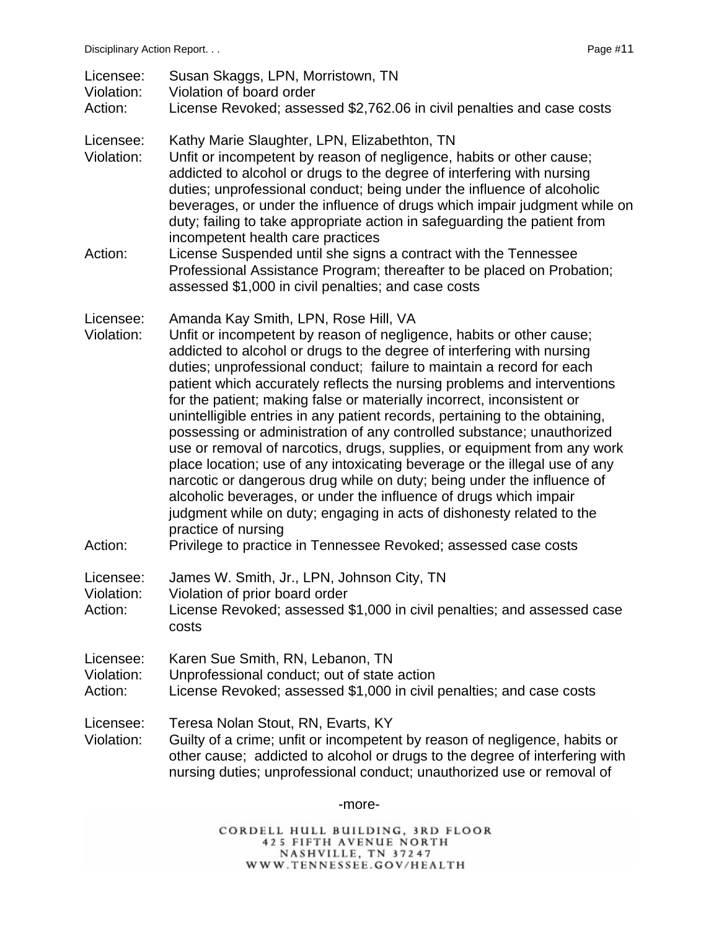| Licensee:<br>Violation:<br>Action: | Susan Skaggs, LPN, Morristown, TN<br>Violation of board order<br>License Revoked; assessed \$2,762.06 in civil penalties and case costs                                                                                                                                                                                                                                                                                                                                                                                                                                                                                                                                                                                                                                                                                                                                                                                                                                                 |
|------------------------------------|-----------------------------------------------------------------------------------------------------------------------------------------------------------------------------------------------------------------------------------------------------------------------------------------------------------------------------------------------------------------------------------------------------------------------------------------------------------------------------------------------------------------------------------------------------------------------------------------------------------------------------------------------------------------------------------------------------------------------------------------------------------------------------------------------------------------------------------------------------------------------------------------------------------------------------------------------------------------------------------------|
| Licensee:<br>Violation:            | Kathy Marie Slaughter, LPN, Elizabethton, TN<br>Unfit or incompetent by reason of negligence, habits or other cause;<br>addicted to alcohol or drugs to the degree of interfering with nursing<br>duties; unprofessional conduct; being under the influence of alcoholic<br>beverages, or under the influence of drugs which impair judgment while on<br>duty; failing to take appropriate action in safeguarding the patient from<br>incompetent health care practices                                                                                                                                                                                                                                                                                                                                                                                                                                                                                                                 |
| Action:                            | License Suspended until she signs a contract with the Tennessee<br>Professional Assistance Program; thereafter to be placed on Probation;<br>assessed \$1,000 in civil penalties; and case costs                                                                                                                                                                                                                                                                                                                                                                                                                                                                                                                                                                                                                                                                                                                                                                                        |
| Licensee:<br>Violation:            | Amanda Kay Smith, LPN, Rose Hill, VA<br>Unfit or incompetent by reason of negligence, habits or other cause;<br>addicted to alcohol or drugs to the degree of interfering with nursing<br>duties; unprofessional conduct; failure to maintain a record for each<br>patient which accurately reflects the nursing problems and interventions<br>for the patient; making false or materially incorrect, inconsistent or<br>unintelligible entries in any patient records, pertaining to the obtaining,<br>possessing or administration of any controlled substance; unauthorized<br>use or removal of narcotics, drugs, supplies, or equipment from any work<br>place location; use of any intoxicating beverage or the illegal use of any<br>narcotic or dangerous drug while on duty; being under the influence of<br>alcoholic beverages, or under the influence of drugs which impair<br>judgment while on duty; engaging in acts of dishonesty related to the<br>practice of nursing |
| Action:                            | Privilege to practice in Tennessee Revoked; assessed case costs                                                                                                                                                                                                                                                                                                                                                                                                                                                                                                                                                                                                                                                                                                                                                                                                                                                                                                                         |
| Licensee:<br>Violation:<br>Action: | James W. Smith, Jr., LPN, Johnson City, TN<br>Violation of prior board order<br>License Revoked; assessed \$1,000 in civil penalties; and assessed case<br>costs                                                                                                                                                                                                                                                                                                                                                                                                                                                                                                                                                                                                                                                                                                                                                                                                                        |
| Licensee:<br>Violation:<br>Action: | Karen Sue Smith, RN, Lebanon, TN<br>Unprofessional conduct; out of state action<br>License Revoked; assessed \$1,000 in civil penalties; and case costs                                                                                                                                                                                                                                                                                                                                                                                                                                                                                                                                                                                                                                                                                                                                                                                                                                 |
| Licensee:<br>Violation:            | Teresa Nolan Stout, RN, Evarts, KY<br>Guilty of a crime; unfit or incompetent by reason of negligence, habits or<br>other cause; addicted to alcohol or drugs to the degree of interfering with<br>nursing duties; unprofessional conduct; unauthorized use or removal of                                                                                                                                                                                                                                                                                                                                                                                                                                                                                                                                                                                                                                                                                                               |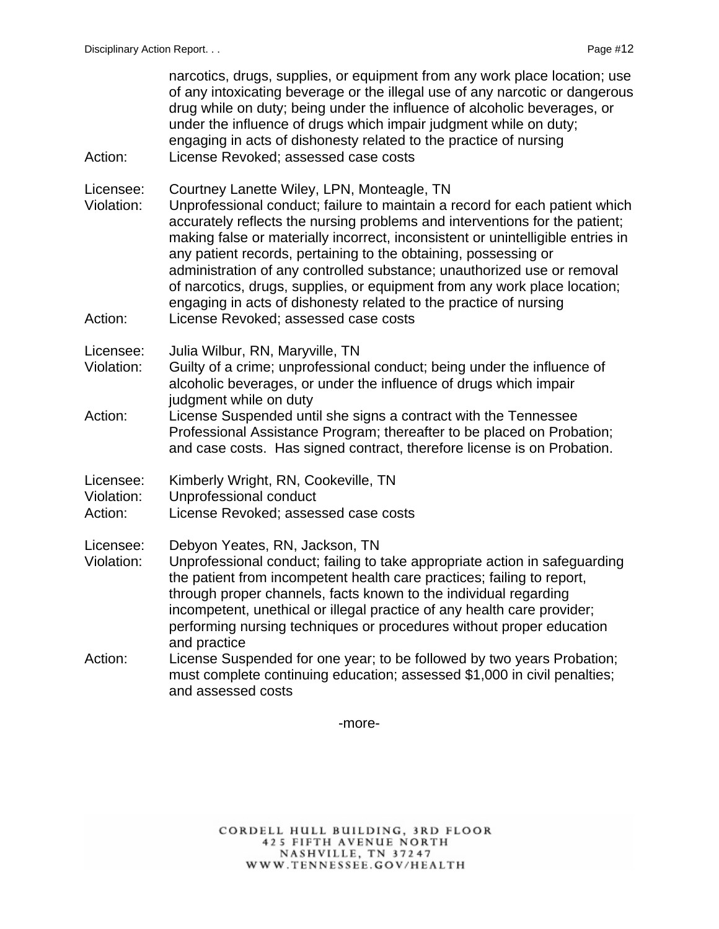| Action:                            | narcotics, drugs, supplies, or equipment from any work place location; use<br>of any intoxicating beverage or the illegal use of any narcotic or dangerous<br>drug while on duty; being under the influence of alcoholic beverages, or<br>under the influence of drugs which impair judgment while on duty;<br>engaging in acts of dishonesty related to the practice of nursing<br>License Revoked; assessed case costs                                                                                                                                                                                                            |
|------------------------------------|-------------------------------------------------------------------------------------------------------------------------------------------------------------------------------------------------------------------------------------------------------------------------------------------------------------------------------------------------------------------------------------------------------------------------------------------------------------------------------------------------------------------------------------------------------------------------------------------------------------------------------------|
| Licensee:<br>Violation:<br>Action: | Courtney Lanette Wiley, LPN, Monteagle, TN<br>Unprofessional conduct; failure to maintain a record for each patient which<br>accurately reflects the nursing problems and interventions for the patient;<br>making false or materially incorrect, inconsistent or unintelligible entries in<br>any patient records, pertaining to the obtaining, possessing or<br>administration of any controlled substance; unauthorized use or removal<br>of narcotics, drugs, supplies, or equipment from any work place location;<br>engaging in acts of dishonesty related to the practice of nursing<br>License Revoked; assessed case costs |
| Licensee:<br>Violation:<br>Action: | Julia Wilbur, RN, Maryville, TN<br>Guilty of a crime; unprofessional conduct; being under the influence of<br>alcoholic beverages, or under the influence of drugs which impair<br>judgment while on duty<br>License Suspended until she signs a contract with the Tennessee<br>Professional Assistance Program; thereafter to be placed on Probation;<br>and case costs. Has signed contract, therefore license is on Probation.                                                                                                                                                                                                   |
| Licensee:<br>Violation:<br>Action: | Kimberly Wright, RN, Cookeville, TN<br>Unprofessional conduct<br>License Revoked; assessed case costs                                                                                                                                                                                                                                                                                                                                                                                                                                                                                                                               |
| Licensee:<br>Violation:<br>Action: | Debyon Yeates, RN, Jackson, TN<br>Unprofessional conduct; failing to take appropriate action in safeguarding<br>the patient from incompetent health care practices; failing to report,<br>through proper channels, facts known to the individual regarding<br>incompetent, unethical or illegal practice of any health care provider;<br>performing nursing techniques or procedures without proper education<br>and practice<br>License Suspended for one year; to be followed by two years Probation;<br>must complete continuing education; assessed \$1,000 in civil penalties;                                                 |
|                                    | and assessed costs                                                                                                                                                                                                                                                                                                                                                                                                                                                                                                                                                                                                                  |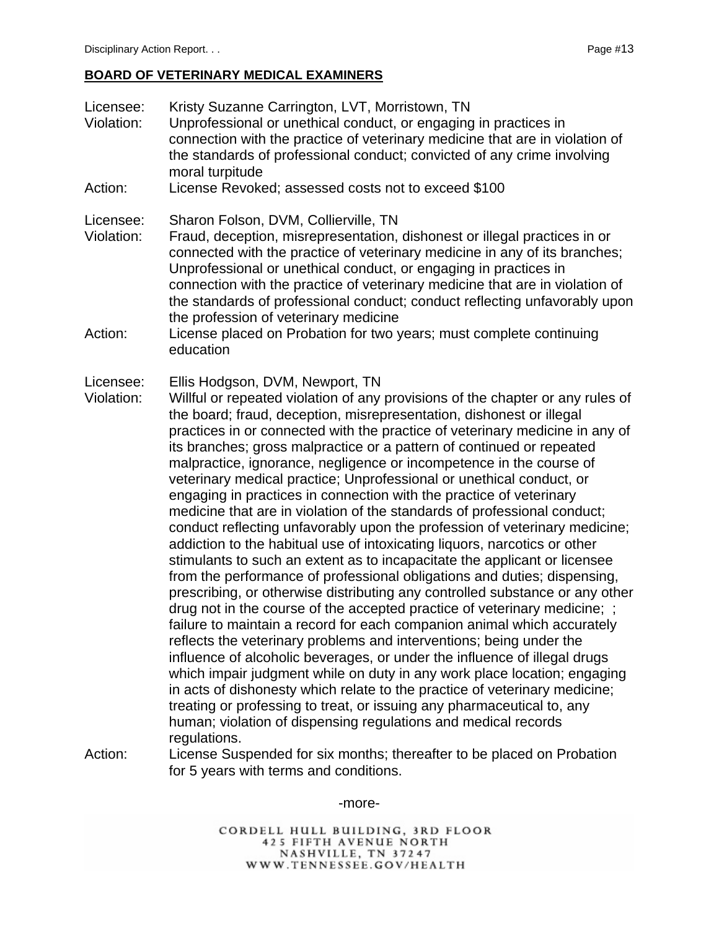#### **BOARD OF VETERINARY MEDICAL EXAMINERS**

- Licensee: Kristy Suzanne Carrington, LVT, Morristown, TN Violation: Unprofessional or unethical conduct, or engaging in practices in connection with the practice of veterinary medicine that are in violation of the standards of professional conduct; convicted of any crime involving moral turpitude Action: License Revoked; assessed costs not to exceed \$100 Licensee: Sharon Folson, DVM, Collierville, TN Violation: Fraud, deception, misrepresentation, dishonest or illegal practices in or connected with the practice of veterinary medicine in any of its branches; Unprofessional or unethical conduct, or engaging in practices in connection with the practice of veterinary medicine that are in violation of the standards of professional conduct; conduct reflecting unfavorably upon the profession of veterinary medicine Action: License placed on Probation for two years; must complete continuing education Licensee: Ellis Hodgson, DVM, Newport, TN Violation: Willful or repeated violation of any provisions of the chapter or any rules of the board; fraud, deception, misrepresentation, dishonest or illegal practices in or connected with the practice of veterinary medicine in any of its branches; gross malpractice or a pattern of continued or repeated malpractice, ignorance, negligence or incompetence in the course of veterinary medical practice; Unprofessional or unethical conduct, or engaging in practices in connection with the practice of veterinary medicine that are in violation of the standards of professional conduct; conduct reflecting unfavorably upon the profession of veterinary medicine; addiction to the habitual use of intoxicating liquors, narcotics or other stimulants to such an extent as to incapacitate the applicant or licensee from the performance of professional obligations and duties; dispensing, prescribing, or otherwise distributing any controlled substance or any other drug not in the course of the accepted practice of veterinary medicine; ; failure to maintain a record for each companion animal which accurately reflects the veterinary problems and interventions; being under the influence of alcoholic beverages, or under the influence of illegal drugs which impair judgment while on duty in any work place location; engaging in acts of dishonesty which relate to the practice of veterinary medicine; treating or professing to treat, or issuing any pharmaceutical to, any human; violation of dispensing regulations and medical records regulations.
- Action: License Suspended for six months; thereafter to be placed on Probation for 5 years with terms and conditions.

-more-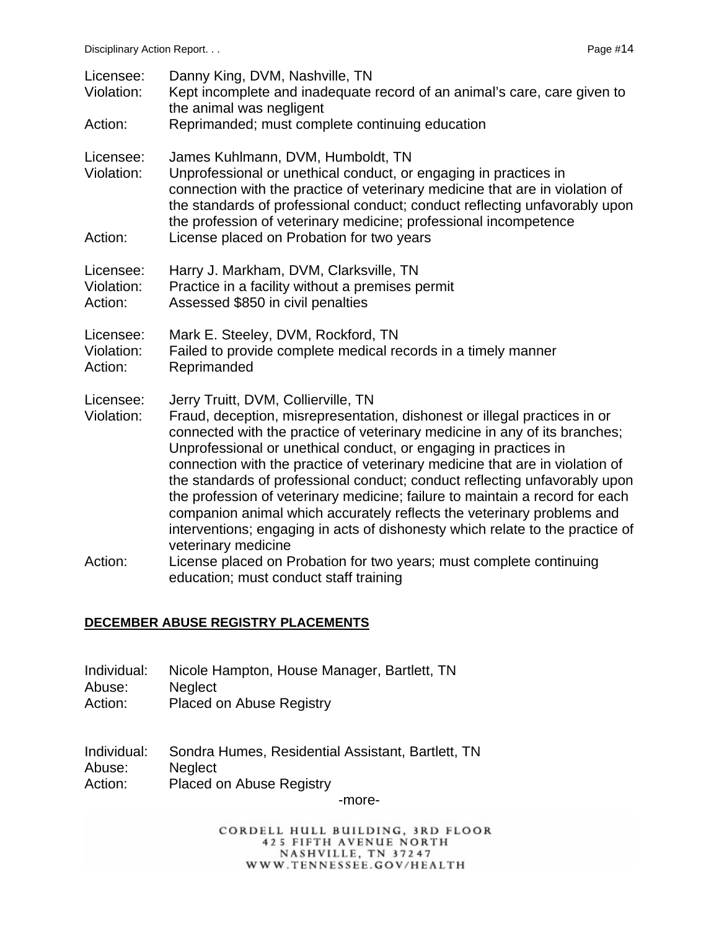| Licensee:<br>Violation:<br>Action: | Danny King, DVM, Nashville, TN<br>Kept incomplete and inadequate record of an animal's care, care given to<br>the animal was negligent<br>Reprimanded; must complete continuing education                                                                                                                                                                                                                                                                                                                                                                                                                                                                                                                                                                                                                           |
|------------------------------------|---------------------------------------------------------------------------------------------------------------------------------------------------------------------------------------------------------------------------------------------------------------------------------------------------------------------------------------------------------------------------------------------------------------------------------------------------------------------------------------------------------------------------------------------------------------------------------------------------------------------------------------------------------------------------------------------------------------------------------------------------------------------------------------------------------------------|
| Licensee:<br>Violation:<br>Action: | James Kuhlmann, DVM, Humboldt, TN<br>Unprofessional or unethical conduct, or engaging in practices in<br>connection with the practice of veterinary medicine that are in violation of<br>the standards of professional conduct; conduct reflecting unfavorably upon<br>the profession of veterinary medicine; professional incompetence<br>License placed on Probation for two years                                                                                                                                                                                                                                                                                                                                                                                                                                |
| Licensee:<br>Violation:<br>Action: | Harry J. Markham, DVM, Clarksville, TN<br>Practice in a facility without a premises permit<br>Assessed \$850 in civil penalties                                                                                                                                                                                                                                                                                                                                                                                                                                                                                                                                                                                                                                                                                     |
| Licensee:<br>Violation:<br>Action: | Mark E. Steeley, DVM, Rockford, TN<br>Failed to provide complete medical records in a timely manner<br>Reprimanded                                                                                                                                                                                                                                                                                                                                                                                                                                                                                                                                                                                                                                                                                                  |
| Licensee:<br>Violation:<br>Action: | Jerry Truitt, DVM, Collierville, TN<br>Fraud, deception, misrepresentation, dishonest or illegal practices in or<br>connected with the practice of veterinary medicine in any of its branches;<br>Unprofessional or unethical conduct, or engaging in practices in<br>connection with the practice of veterinary medicine that are in violation of<br>the standards of professional conduct; conduct reflecting unfavorably upon<br>the profession of veterinary medicine; failure to maintain a record for each<br>companion animal which accurately reflects the veterinary problems and<br>interventions; engaging in acts of dishonesty which relate to the practice of<br>veterinary medicine<br>License placed on Probation for two years; must complete continuing<br>education; must conduct staff training |

#### **DECEMBER ABUSE REGISTRY PLACEMENTS**

- Individual: Nicole Hampton, House Manager, Bartlett, TN Abuse: Neglect
- Action: Placed on Abuse Registry
- Individual: Sondra Humes, Residential Assistant, Bartlett, TN Abuse: Neglect Action: Placed on Abuse Registry

-more-